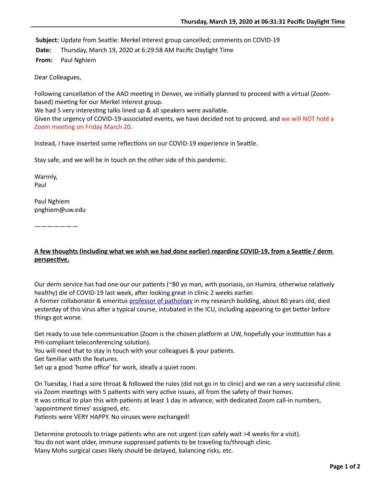Subject: Update from Seattle: Merkel interest group cancelled; comments on COVID-19

**Date:** Thursday, March 19, 2020 at 6:29:58 AM Pacific Daylight Time

**From:** Paul Nghiem

Dear Colleagues,

Following cancellation of the AAD meeting in Denver, we initially planned to proceed with a virtual (Zoombased) meeting for our Merkel interest group.

We had 5 very interesting talks lined up & all speakers were available.

Given the urgency of COVID-19-associated events, we have decided not to proceed, and we will NOT hold a Zoom meeting on Friday March 20.

Instead, I have inserted some reflections on our COVID-19 experience in Seattle.

Stay safe, and we will be in touch on the other side of this pandemic.

Warmly, Paul

Paul Nghiem pnghiem@uw.edu

———————

## A few thoughts (including what we wish we had done earlier) regarding COVID-19, from a Seattle / derm **perspective.**

Our derm service has had one our our patients ( $\sim$ 80 yo man, with psoriasis, on Humira, otherwise relatively healthy) die of COVID-19 last week, after looking great in clinic 2 weeks earlier. A former collaborator & emeritus [professor of pathology](https://huddle.uwmedicine.org/news/remembrance-stephen-schwartz) in my research building, about 80 years old, died yesterday of this virus after a typical course, intubated in the ICU, including appearing to get better before things got worse.

Get ready to use tele-communication (Zoom is the chosen platform at UW, hopefully your institution has a PHI-compliant teleconferencing solution).

You will need that to stay in touch with your colleagues & your patients.

Get familiar with the features.

Set up a good 'home office' for work, ideally a quiet room.

On Tuesday, I had a sore throat & followed the rules (did not go in to clinic) and we ran a very successful clinic via Zoom meetings with 5 patients with very active issues, all from the safety of their homes.

It was critical to plan this with patients at least 1 day in advance, with dedicated Zoom call-in numbers, 'appointment times' assigned, etc.

Patients were VERY HAPPY. No viruses were exchanged!

Determine protocols to triage patients who are not urgent (can safely wait >4 weeks for a visit). You do not want older, immune suppressed patients to be traveling to/through clinic. Many Mohs surgical cases likely should be delayed, balancing risks, etc.